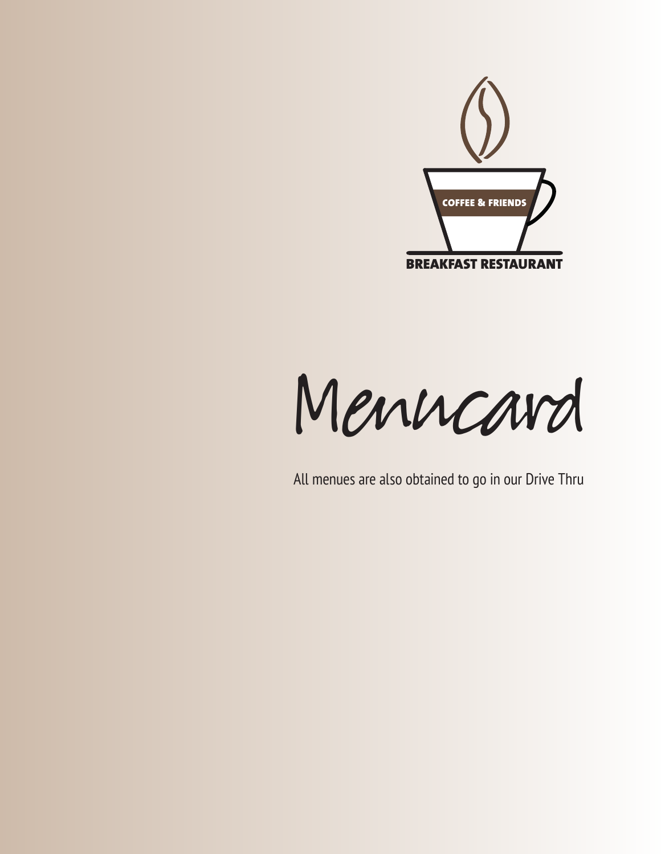

Menucard

All menues are also obtained to go in our Drive Thru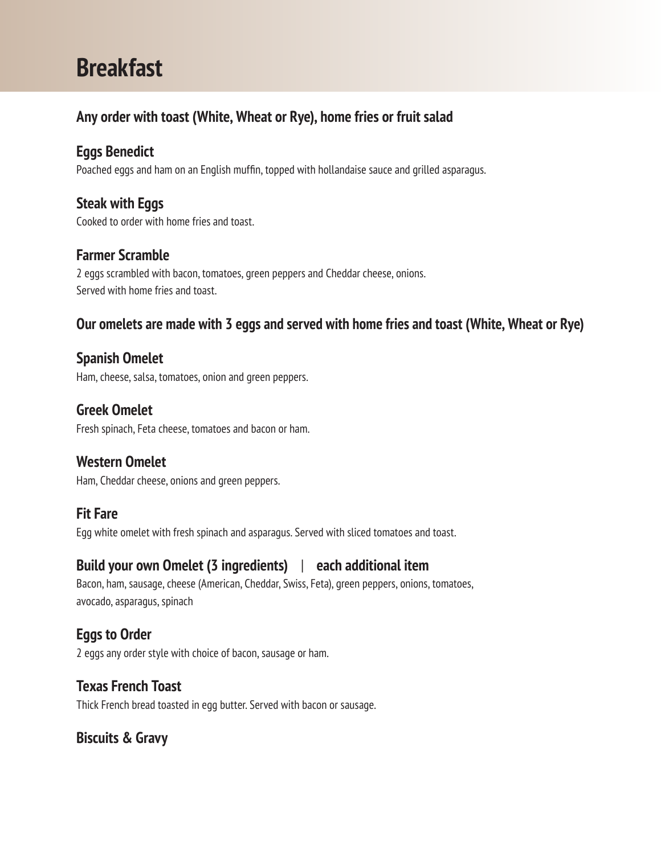# **Breakfast**

# **Any order with toast (White, Wheat or Rye), home fries or fruit salad**

# **Eggs Benedict**

Poached eggs and ham on an English muffin, topped with hollandaise sauce and grilled asparagus.

# **Steak with Eggs**

Cooked to order with home fries and toast.

### **Farmer Scramble**

2 eggs scrambled with bacon, tomatoes, green peppers and Cheddar cheese, onions. Served with home fries and toast.

# **Our omelets are made with 3 eggs and served with home fries and toast (White, Wheat or Rye)**

# **Spanish Omelet**

Ham, cheese, salsa, tomatoes, onion and green peppers.

# **Greek Omelet**

Fresh spinach, Feta cheese, tomatoes and bacon or ham.

#### **Western Omelet**

Ham, Cheddar cheese, onions and green peppers.

# **Fit Fare**

Egg white omelet with fresh spinach and asparagus. Served with sliced tomatoes and toast.

# **Build your own Omelet (3 ingredients)** | **each additional item**

Bacon, ham, sausage, cheese (American, Cheddar, Swiss, Feta), green peppers, onions, tomatoes, avocado, asparagus, spinach

# **Eggs to Order**

2 eggs any order style with choice of bacon, sausage or ham.

# **Texas French Toast**

Thick French bread toasted in egg butter. Served with bacon or sausage.

# **Biscuits & Gravy**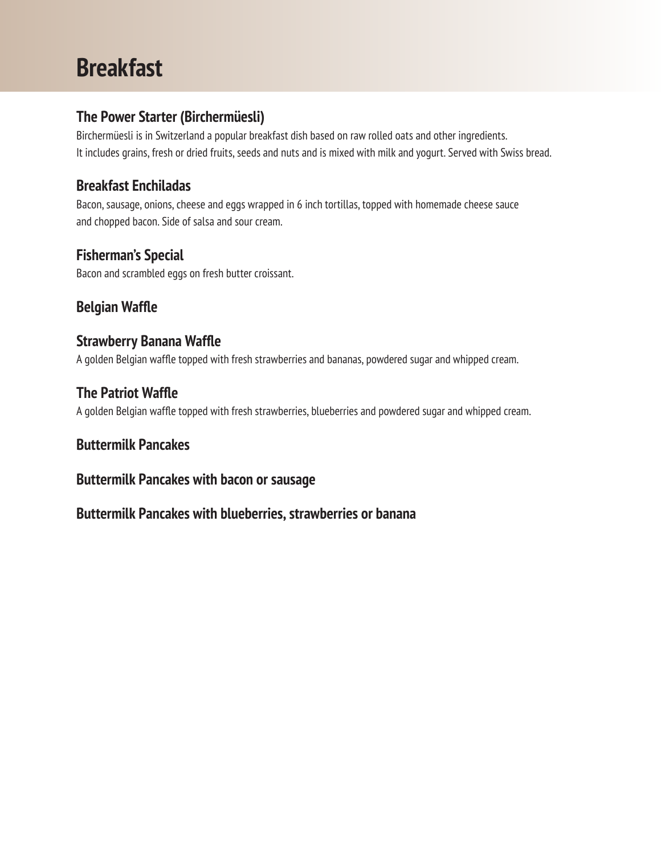# **Breakfast**

#### **The Power Starter (Birchermüesli)**

Birchermüesli is in Switzerland a popular breakfast dish based on raw rolled oats and other ingredients. It includes grains, fresh or dried fruits, seeds and nuts and is mixed with milk and yogurt. Served with Swiss bread.

### **Breakfast Enchiladas**

Bacon, sausage, onions, cheese and eggs wrapped in 6 inch tortillas, topped with homemade cheese sauce and chopped bacon. Side of salsa and sour cream.

#### **Fisherman's Special**

Bacon and scrambled eggs on fresh butter croissant.

# **Belgian Waffle**

#### **Strawberry Banana Waffle**

A golden Belgian waffle topped with fresh strawberries and bananas, powdered sugar and whipped cream.

#### **The Patriot Waffle**

A golden Belgian waffle topped with fresh strawberries, blueberries and powdered sugar and whipped cream.

#### **Buttermilk Pancakes**

#### **Buttermilk Pancakes with bacon or sausage**

**Buttermilk Pancakes with blueberries, strawberries or banana**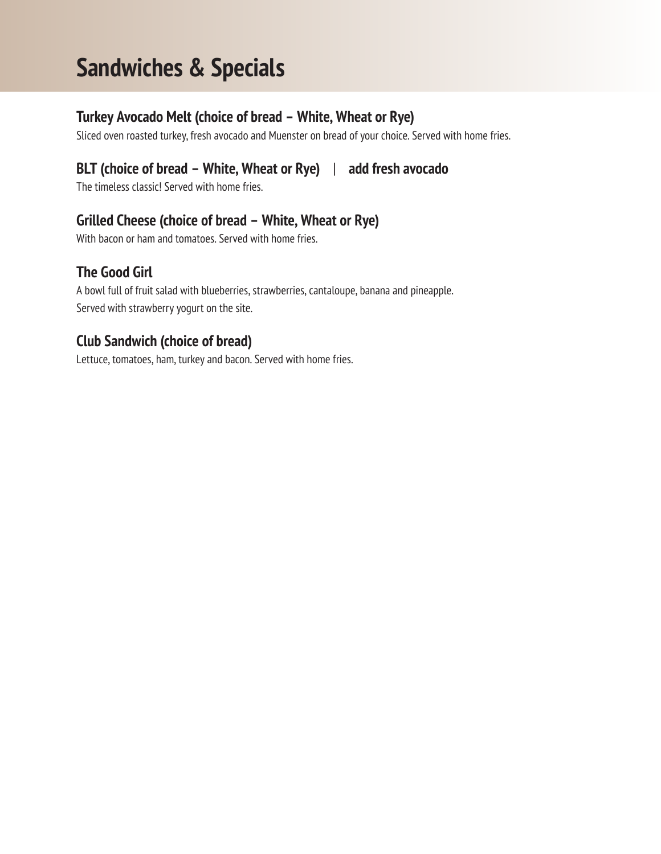# **Sandwiches & Specials**

### **Turkey Avocado Melt (choice of bread – White, Wheat or Rye)**

Sliced oven roasted turkey, fresh avocado and Muenster on bread of your choice. Served with home fries.

# **BLT (choice of bread – White, Wheat or Rye)** | **add fresh avocado**

The timeless classic! Served with home fries.

# **Grilled Cheese (choice of bread – White, Wheat or Rye)**

With bacon or ham and tomatoes. Served with home fries.

# **The Good Girl**

A bowl full of fruit salad with blueberries, strawberries, cantaloupe, banana and pineapple. Served with strawberry yogurt on the site.

### **Club Sandwich (choice of bread)**

Lettuce, tomatoes, ham, turkey and bacon. Served with home fries.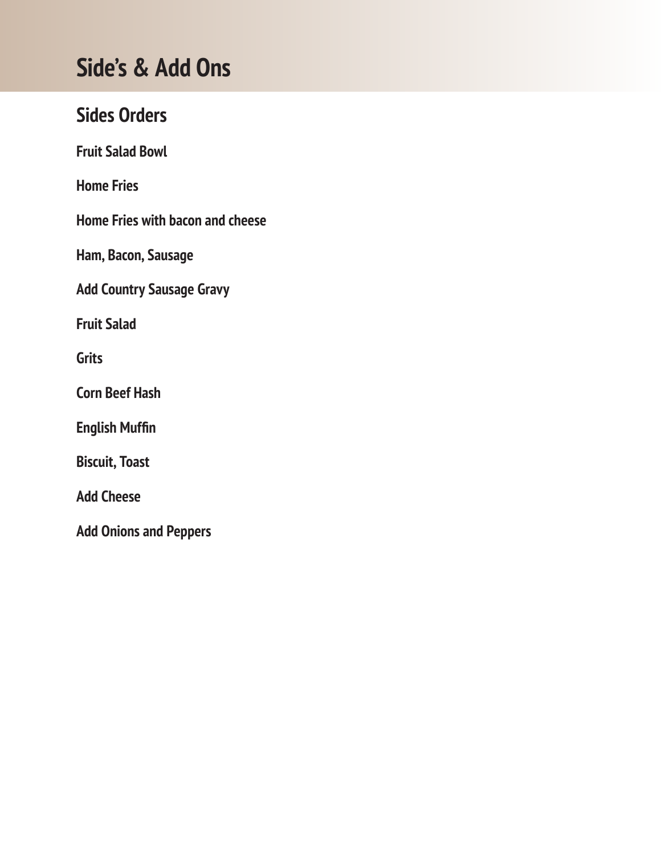# **Side's & Add Ons**

# **Sides Orders**

**Fruit Salad Bowl**

**Home Fries**

**Home Fries with bacon and cheese**

**Ham, Bacon, Sausage**

**Add Country Sausage Gravy**

**Fruit Salad**

**Grits**

**Corn Beef Hash**

**English Muffin**

**Biscuit, Toast**

**Add Cheese**

**Add Onions and Peppers**